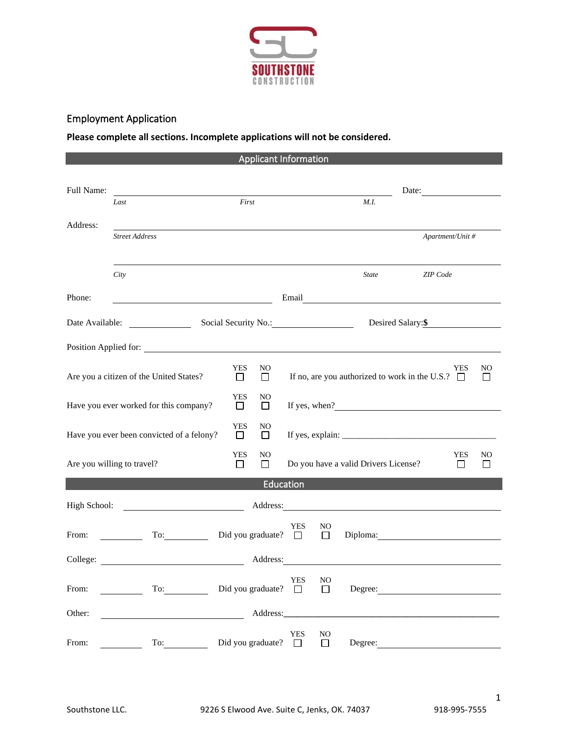

## Employment Application

**Please complete all sections. Incomplete applications will not be considered.**

|              |                                           |                      | <b>Applicant Information</b> |            |                          |                                      |                                                                                                                |                    |
|--------------|-------------------------------------------|----------------------|------------------------------|------------|--------------------------|--------------------------------------|----------------------------------------------------------------------------------------------------------------|--------------------|
| Full Name:   | Last                                      | First                |                              |            |                          | M.I.                                 | Date:                                                                                                          |                    |
| Address:     |                                           |                      |                              |            |                          |                                      |                                                                                                                |                    |
|              | <b>Street Address</b>                     |                      |                              |            |                          |                                      | Apartment/Unit #                                                                                               |                    |
|              | City                                      |                      |                              |            |                          | <b>State</b>                         | <b>ZIP</b> Code                                                                                                |                    |
| Phone:       |                                           |                      |                              |            |                          |                                      |                                                                                                                |                    |
|              | Date Available:                           |                      |                              |            |                          |                                      | Desired Salary: \$                                                                                             |                    |
|              | Position Applied for:                     |                      |                              |            |                          |                                      |                                                                                                                |                    |
|              | Are you a citizen of the United States?   | <b>YES</b><br>$\Box$ | NO<br>$\Box$                 |            |                          |                                      | YES<br>If no, are you authorized to work in the U.S.? $\Box$                                                   | NO<br>$\Box$       |
|              | Have you ever worked for this company?    | <b>YES</b><br>$\Box$ | NO<br>$\Box$                 |            |                          |                                      |                                                                                                                |                    |
|              | Have you ever been convicted of a felony? | <b>YES</b><br>$\Box$ | NO<br>□                      |            |                          |                                      |                                                                                                                |                    |
|              | Are you willing to travel?                | YES<br>$\mathbf{1}$  | NO<br>П                      |            |                          | Do you have a valid Drivers License? | <b>YES</b><br>$\perp$                                                                                          | NO<br>$\mathsf{L}$ |
|              |                                           |                      | Education                    |            |                          |                                      |                                                                                                                |                    |
| High School: | Address:                                  |                      |                              |            |                          |                                      |                                                                                                                |                    |
| From:        | To:<br><u>and the state</u>               |                      | Did you graduate? $\square$  | YES        | NO<br>$\Box$             |                                      | Diploma: 2000 and 2000 and 2000 and 2000 and 2000 and 2000 and 2000 and 2000 and 2000 and 2000 and 2000 and 20 |                    |
| College:     |                                           |                      | Address:                     |            |                          |                                      |                                                                                                                |                    |
| From:        | To: $\qquad \qquad \qquad$                |                      | Did you graduate? $\Box$     | <b>YES</b> | N <sub>O</sub><br>$\Box$ | Degree:                              |                                                                                                                |                    |
| Other:       |                                           |                      |                              |            |                          |                                      |                                                                                                                |                    |
| From:        | To:                                       |                      | Did you graduate? $\Box$     | <b>YES</b> | NO<br>$\Box$             | Degree:                              |                                                                                                                |                    |

1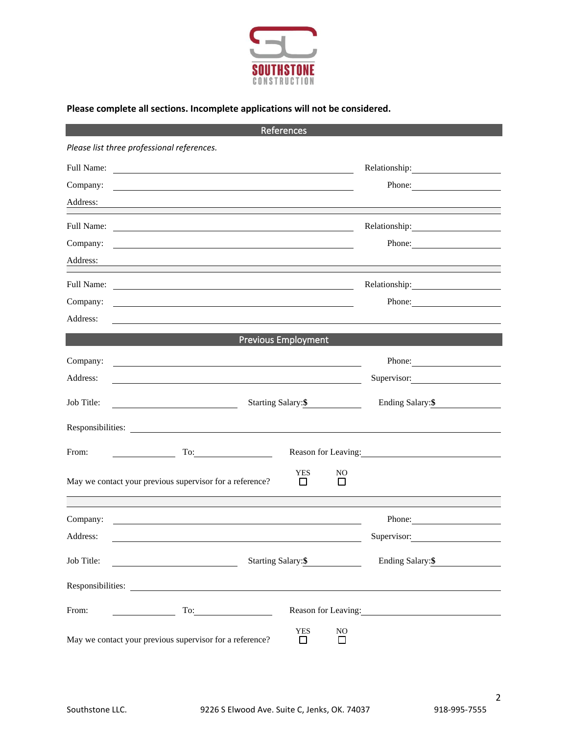

## **Please complete all sections. Incomplete applications will not be considered.**

|            |                                                                                                                                                                                                                                | References           |                          |                     |  |
|------------|--------------------------------------------------------------------------------------------------------------------------------------------------------------------------------------------------------------------------------|----------------------|--------------------------|---------------------|--|
|            | Please list three professional references.                                                                                                                                                                                     |                      |                          |                     |  |
|            |                                                                                                                                                                                                                                |                      |                          |                     |  |
| Company:   |                                                                                                                                                                                                                                |                      |                          | Phone:              |  |
| Address:   |                                                                                                                                                                                                                                |                      |                          |                     |  |
|            |                                                                                                                                                                                                                                |                      |                          |                     |  |
| Company:   | <u> 1989 - Jan Samuel Barbara, martin da shekarar 1980 - André a Samuel Barbara, marka a shekarar 1980 - André a</u>                                                                                                           |                      |                          | Phone:              |  |
| Address:   |                                                                                                                                                                                                                                |                      |                          |                     |  |
| Full Name: |                                                                                                                                                                                                                                |                      |                          | Relationship: 2000  |  |
| Company:   | <u> 1989 - Jan Samuel Barbara, martin da shekara tsara 1989 - An tsara 1989 - An tsara 1989 - An tsara 1989 - An</u>                                                                                                           |                      |                          | Phone:              |  |
| Address:   |                                                                                                                                                                                                                                |                      |                          |                     |  |
|            | <b>Previous Employment</b>                                                                                                                                                                                                     |                      |                          |                     |  |
| Company:   | and the control of the control of the control of the control of the control of the control of the control of the                                                                                                               |                      |                          | Phone: 2008         |  |
| Address:   | <u> 1989 - Johann Stoff, deutscher Stoffen und der Stoffen und der Stoffen und der Stoffen und der Stoffen und der</u>                                                                                                         |                      |                          | Supervisor:         |  |
| Job Title: | <u> 1989 - Johann Barbara, martin a</u>                                                                                                                                                                                        | Starting Salary: \$  |                          | Ending Salary: \$   |  |
|            | Responsibilities:                                                                                                                                                                                                              |                      |                          |                     |  |
| From:      | To: The contract of the contract of the contract of the contract of the contract of the contract of the contract of the contract of the contract of the contract of the contract of the contract of the contract of the contra |                      |                          | Reason for Leaving: |  |
|            | May we contact your previous supervisor for a reference?                                                                                                                                                                       | <b>YES</b><br>П      | NO<br>$\perp$            |                     |  |
| Company:   |                                                                                                                                                                                                                                |                      |                          |                     |  |
| Address:   |                                                                                                                                                                                                                                |                      |                          | Supervisor:         |  |
| Job Title: |                                                                                                                                                                                                                                | Starting Salary: \$  |                          | Ending Salary:\$    |  |
|            | Responsibilities: Les and the contract of the contract of the contract of the contract of the contract of the contract of the contract of the contract of the contract of the contract of the contract of the contract of the  |                      |                          |                     |  |
| From:      |                                                                                                                                                                                                                                |                      |                          | Reason for Leaving: |  |
|            | May we contact your previous supervisor for a reference?                                                                                                                                                                       | <b>YES</b><br>$\Box$ | N <sub>O</sub><br>$\Box$ |                     |  |

2